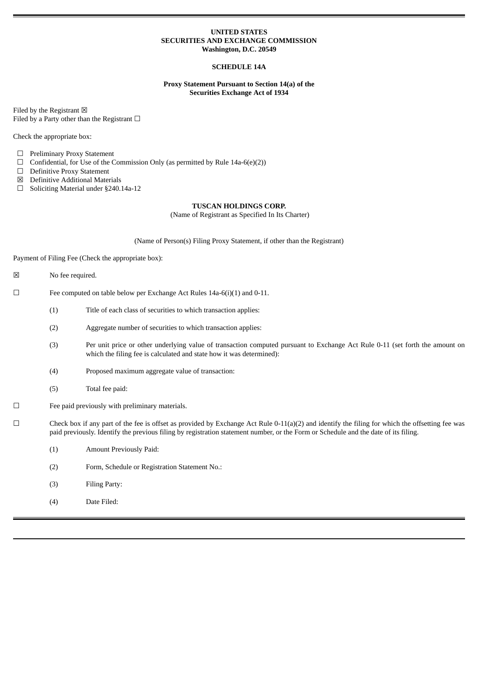## **UNITED STATES SECURITIES AND EXCHANGE COMMISSION Washington, D.C. 20549**

## **SCHEDULE 14A**

# **Proxy Statement Pursuant to Section 14(a) of the Securities Exchange Act of 1934**

Filed by the Registrant  $\boxtimes$ Filed by a Party other than the Registrant  $\Box$ 

Check the appropriate box:

☐ Preliminary Proxy Statement

 $\Box$  Confidential, for Use of the Commission Only (as permitted by Rule 14a-6(e)(2))

☐ Definitive Proxy Statement

☒ Definitive Additional Materials

☐ Soliciting Material under §240.14a-12

#### **TUSCAN HOLDINGS CORP.**

(Name of Registrant as Specified In Its Charter)

(Name of Person(s) Filing Proxy Statement, if other than the Registrant)

Payment of Filing Fee (Check the appropriate box):

- ☒ No fee required.
- ☐ Fee computed on table below per Exchange Act Rules 14a-6(i)(1) and 0-11.
	- (1) Title of each class of securities to which transaction applies:
	- (2) Aggregate number of securities to which transaction applies:
	- (3) Per unit price or other underlying value of transaction computed pursuant to Exchange Act Rule 0-11 (set forth the amount on which the filing fee is calculated and state how it was determined):
	- (4) Proposed maximum aggregate value of transaction:
	- (5) Total fee paid:
- ☐ Fee paid previously with preliminary materials.
- $\Box$  Check box if any part of the fee is offset as provided by Exchange Act Rule 0-11(a)(2) and identify the filing for which the offsetting fee was paid previously. Identify the previous filing by registration statement number, or the Form or Schedule and the date of its filing.
	- (1) Amount Previously Paid:
	- (2) Form, Schedule or Registration Statement No.:
	- (3) Filing Party:
	- (4) Date Filed: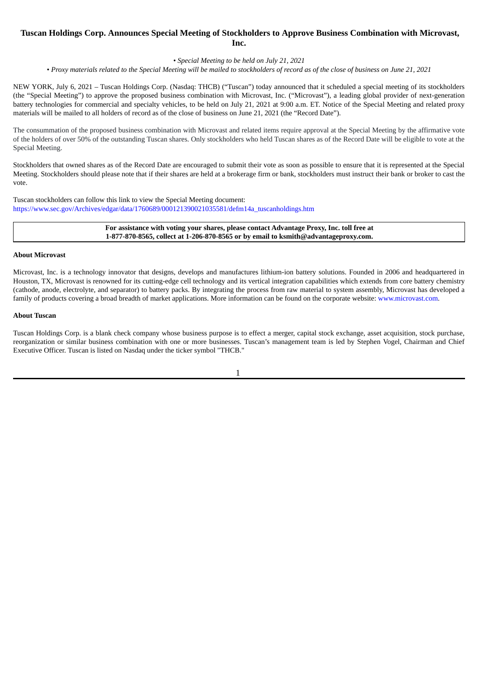# **Tuscan Holdings Corp. Announces Special Meeting of Stockholders to Approve Business Combination with Microvast, Inc.**

*• Special Meeting to be held on July 21, 2021*

· Proxy materials related to the Special Meeting will be mailed to stockholders of record as of the close of business on June 21, 2021

NEW YORK, July 6, 2021 – Tuscan Holdings Corp. (Nasdaq: THCB) ("Tuscan") today announced that it scheduled a special meeting of its stockholders (the "Special Meeting") to approve the proposed business combination with Microvast, Inc. ("Microvast"), a leading global provider of next-generation battery technologies for commercial and specialty vehicles, to be held on July 21, 2021 at 9:00 a.m. ET. Notice of the Special Meeting and related proxy materials will be mailed to all holders of record as of the close of business on June 21, 2021 (the "Record Date").

The consummation of the proposed business combination with Microvast and related items require approval at the Special Meeting by the affirmative vote of the holders of over 50% of the outstanding Tuscan shares. Only stockholders who held Tuscan shares as of the Record Date will be eligible to vote at the Special Meeting.

Stockholders that owned shares as of the Record Date are encouraged to submit their vote as soon as possible to ensure that it is represented at the Special Meeting. Stockholders should please note that if their shares are held at a brokerage firm or bank, stockholders must instruct their bank or broker to cast the vote.

Tuscan stockholders can follow this link to view the Special Meeting document: https://www.sec.gov/Archives/edgar/data/1760689/000121390021035581/defm14a\_tuscanholdings.htm

> **For assistance with voting your shares, please contact Advantage Proxy, Inc. toll free at 1-877-870-8565, collect at 1-206-870-8565 or by email to ksmith@advantageproxy.com.**

## **About Microvast**

Microvast, Inc. is a technology innovator that designs, develops and manufactures lithium-ion battery solutions. Founded in 2006 and headquartered in Houston, TX, Microvast is renowned for its cutting-edge cell technology and its vertical integration capabilities which extends from core battery chemistry (cathode, anode, electrolyte, and separator) to battery packs. By integrating the process from raw material to system assembly, Microvast has developed a family of products covering a broad breadth of market applications. More information can be found on the corporate website: www.microvast.com.

#### **About Tuscan**

Tuscan Holdings Corp. is a blank check company whose business purpose is to effect a merger, capital stock exchange, asset acquisition, stock purchase, reorganization or similar business combination with one or more businesses. Tuscan's management team is led by Stephen Vogel, Chairman and Chief Executive Officer. Tuscan is listed on Nasdaq under the ticker symbol "THCB."

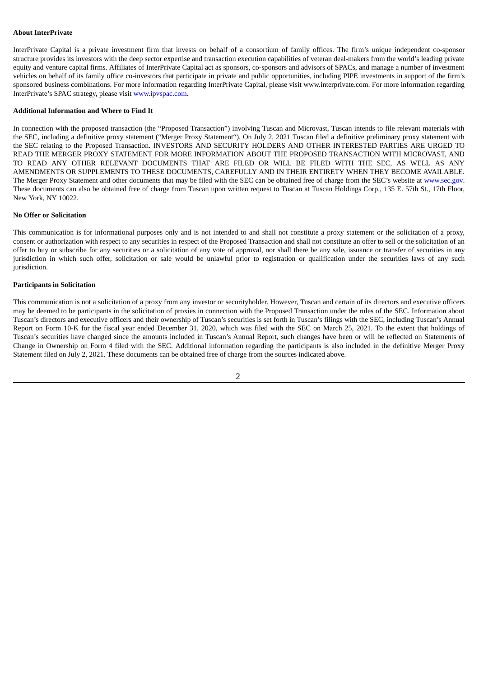#### **About InterPrivate**

InterPrivate Capital is a private investment firm that invests on behalf of a consortium of family offices. The firm's unique independent co-sponsor structure provides its investors with the deep sector expertise and transaction execution capabilities of veteran deal-makers from the world's leading private equity and venture capital firms. Affiliates of InterPrivate Capital act as sponsors, co-sponsors and advisors of SPACs, and manage a number of investment vehicles on behalf of its family office co-investors that participate in private and public opportunities, including PIPE investments in support of the firm's sponsored business combinations. For more information regarding InterPrivate Capital, please visit www.interprivate.com. For more information regarding InterPrivate's SPAC strategy, please visit www.ipvspac.com.

## **Additional Information and Where to Find It**

In connection with the proposed transaction (the "Proposed Transaction") involving Tuscan and Microvast, Tuscan intends to file relevant materials with the SEC, including a definitive proxy statement ("Merger Proxy Statement"). On July 2, 2021 Tuscan filed a definitive preliminary proxy statement with the SEC relating to the Proposed Transaction. INVESTORS AND SECURITY HOLDERS AND OTHER INTERESTED PARTIES ARE URGED TO READ THE MERGER PROXY STATEMENT FOR MORE INFORMATION ABOUT THE PROPOSED TRANSACTION WITH MICROVAST, AND TO READ ANY OTHER RELEVANT DOCUMENTS THAT ARE FILED OR WILL BE FILED WITH THE SEC, AS WELL AS ANY AMENDMENTS OR SUPPLEMENTS TO THESE DOCUMENTS, CAREFULLY AND IN THEIR ENTIRETY WHEN THEY BECOME AVAILABLE. The Merger Proxy Statement and other documents that may be filed with the SEC can be obtained free of charge from the SEC's website at www.sec.gov. These documents can also be obtained free of charge from Tuscan upon written request to Tuscan at Tuscan Holdings Corp., 135 E. 57th St., 17th Floor, New York, NY 10022.

#### **No Offer or Solicitation**

This communication is for informational purposes only and is not intended to and shall not constitute a proxy statement or the solicitation of a proxy, consent or authorization with respect to any securities in respect of the Proposed Transaction and shall not constitute an offer to sell or the solicitation of an offer to buy or subscribe for any securities or a solicitation of any vote of approval, nor shall there be any sale, issuance or transfer of securities in any jurisdiction in which such offer, solicitation or sale would be unlawful prior to registration or qualification under the securities laws of any such jurisdiction.

#### **Participants in Solicitation**

This communication is not a solicitation of a proxy from any investor or securityholder. However, Tuscan and certain of its directors and executive officers may be deemed to be participants in the solicitation of proxies in connection with the Proposed Transaction under the rules of the SEC. Information about Tuscan's directors and executive officers and their ownership of Tuscan's securities is set forth in Tuscan's filings with the SEC, including Tuscan's Annual Report on Form 10-K for the fiscal year ended December 31, 2020, which was filed with the SEC on March 25, 2021. To the extent that holdings of Tuscan's securities have changed since the amounts included in Tuscan's Annual Report, such changes have been or will be reflected on Statements of Change in Ownership on Form 4 filed with the SEC. Additional information regarding the participants is also included in the definitive Merger Proxy Statement filed on July 2, 2021. These documents can be obtained free of charge from the sources indicated above.